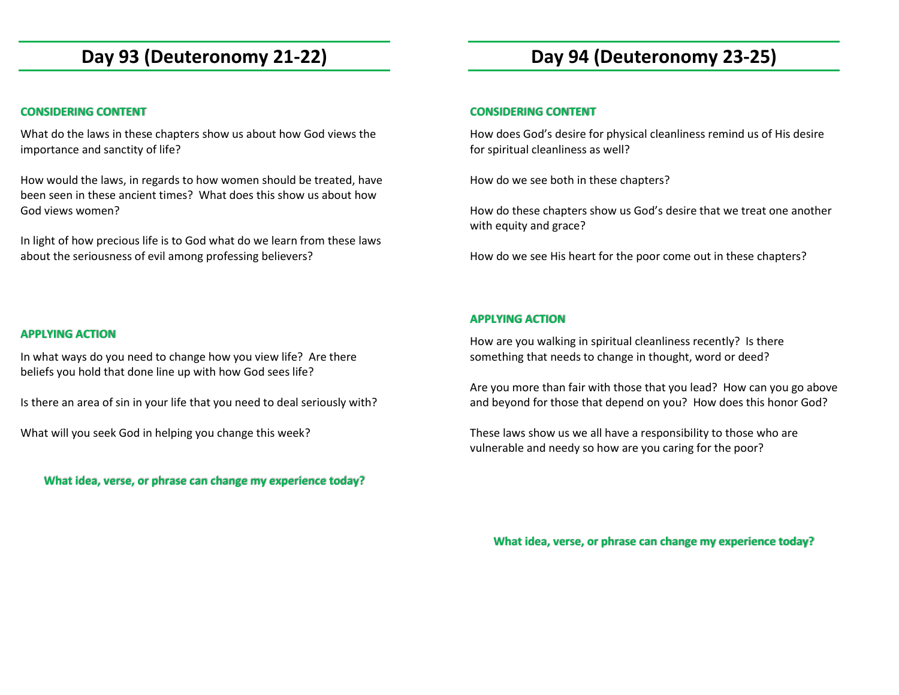# **Day 93 (Deuteronomy 21-22)**

## **CONSIDERING CONTENT**

What do the laws in these chapters show us about how God views the importance and sanctity of life?

How would the laws, in regards to how women should be treated, have been seen in these ancient times? What does this show us about how God views women?

In light of how precious life is to God what do we learn from these laws about the seriousness of evil among professing believers?

# **Day 94 (Deuteronomy 23-25)**

### **CONSIDERING CONTENT**

How does God's desire for physical cleanliness remind us of His desire for spiritual cleanliness as well?

How do we see both in these chapters?

How do these chapters show us God's desire that we treat one another with equity and grace?

How do we see His heart for the poor come out in these chapters?

#### **APPLYING ACTION**

In what ways do you need to change how you view life? Are there beliefs you hold that done line up with how God sees life?

Is there an area of sin in your life that you need to deal seriously with?

What will you seek God in helping you change this week?

**What idea, verse, or phrase can change my experience today?**

### **APPLYING ACTION**

How are you walking in spiritual cleanliness recently? Is there something that needs to change in thought, word or deed?

Are you more than fair with those that you lead? How can you go above and beyond for those that depend on you? How does this honor God?

These laws show us we all have a responsibility to those who are vulnerable and needy so how are you caring for the poor?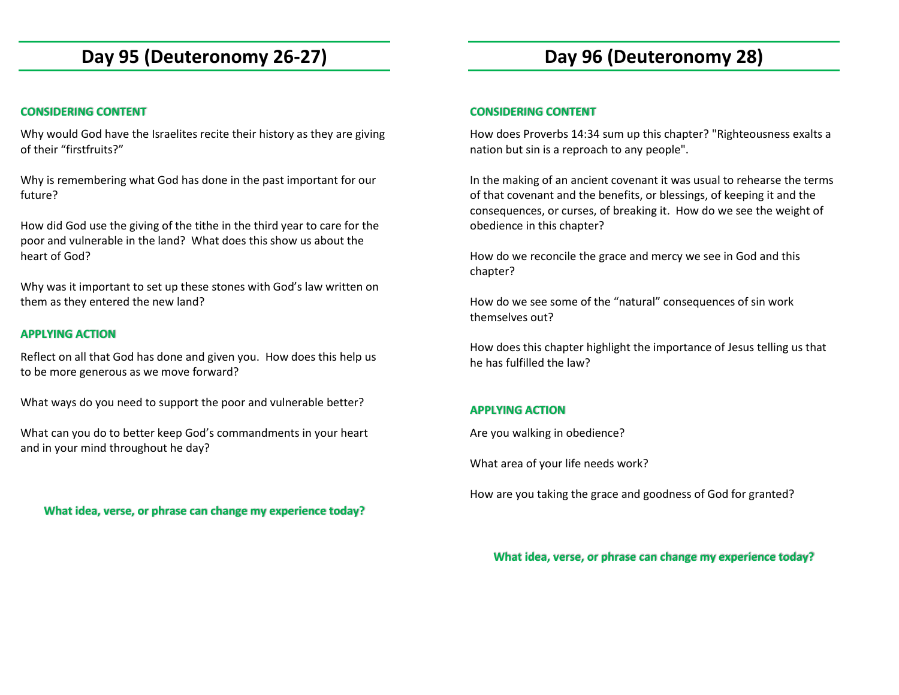# **Day 95 (Deuteronomy 26-27)**

# **CONSIDERING CONTENT**

Why would God have the Israelites recite their history as they are giving of their "firstfruits?"

Why is remembering what God has done in the past important for our future?

How did God use the giving of the tithe in the third year to care for the poor and vulnerable in the land? What does this show us about the heart of God?

Why was it important to set up these stones with God's law written on them as they entered the new land?

### **APPLYING ACTION**

Reflect on all that God has done and given you. How does this help us to be more generous as we move forward?

What ways do you need to support the poor and vulnerable better?

What can you do to better keep God's commandments in your heart and in your mind throughout he day?

**What idea, verse, or phrase can change my experience today?**

# **Day 96 (Deuteronomy 28)**

# **CONSIDERING CONTENT**

How does Proverbs 14:34 sum up this chapter? "Righteousness exalts a nation but sin is a reproach to any people".

In the making of an ancient covenant it was usual to rehearse the terms of that covenant and the benefits, or blessings, of keeping it and the consequences, or curses, of breaking it. How do we see the weight of obedience in this chapter?

How do we reconcile the grace and mercy we see in God and this chapter?

How do we see some of the "natural" consequences of sin work themselves out?

How does this chapter highlight the importance of Jesus telling us that he has fulfilled the law?

### **APPLYING ACTION**

Are you walking in obedience?

What area of your life needs work?

How are you taking the grace and goodness of God for granted?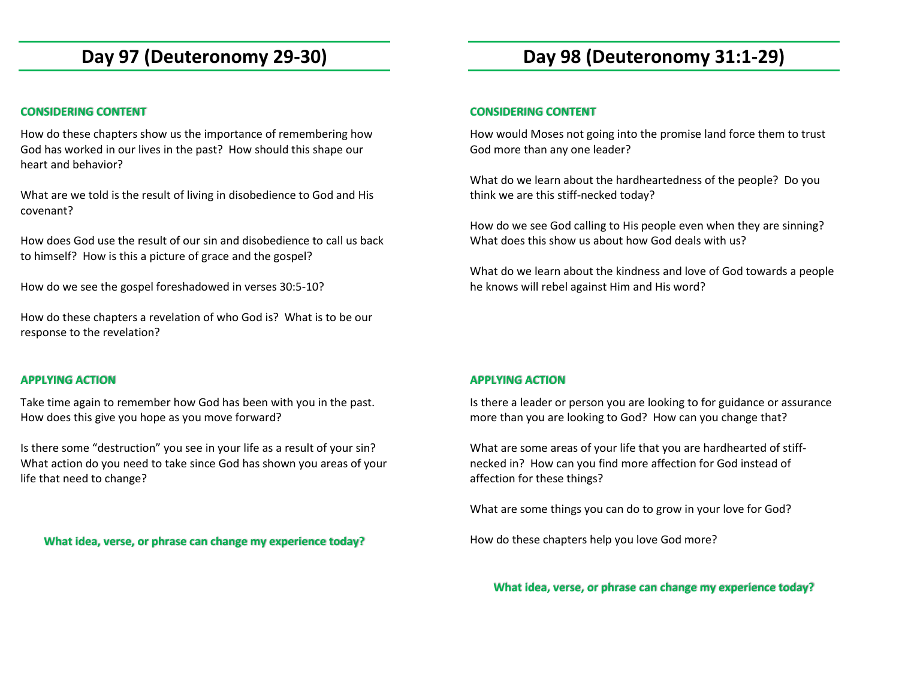# **Day 97 (Deuteronomy 29-30)**

# **CONSIDERING CONTENT**

How do these chapters show us the importance of remembering how God has worked in our lives in the past? How should this shape our heart and behavior?

What are we told is the result of living in disobedience to God and His covenant?

How does God use the result of our sin and disobedience to call us back to himself? How is this a picture of grace and the gospel?

How do we see the gospel foreshadowed in verses 30:5-10?

How do these chapters a revelation of who God is? What is to be our response to the revelation?

### **APPLYING ACTION**

Take time again to remember how God has been with you in the past. How does this give you hope as you move forward?

Is there some "destruction" you see in your life as a result of your sin? What action do you need to take since God has shown you areas of your life that need to change?

**What idea, verse, or phrase can change my experience today?**

# **Day 98 (Deuteronomy 31:1-29)**

### **CONSIDERING CONTENT**

How would Moses not going into the promise land force them to trust God more than any one leader?

What do we learn about the hardheartedness of the people? Do you think we are this stiff-necked today?

How do we see God calling to His people even when they are sinning? What does this show us about how God deals with us?

What do we learn about the kindness and love of God towards a people he knows will rebel against Him and His word?

### **APPLYING ACTION**

Is there a leader or person you are looking to for guidance or assurance more than you are looking to God? How can you change that?

What are some areas of your life that you are hardhearted of stiffnecked in? How can you find more affection for God instead of affection for these things?

What are some things you can do to grow in your love for God?

How do these chapters help you love God more?